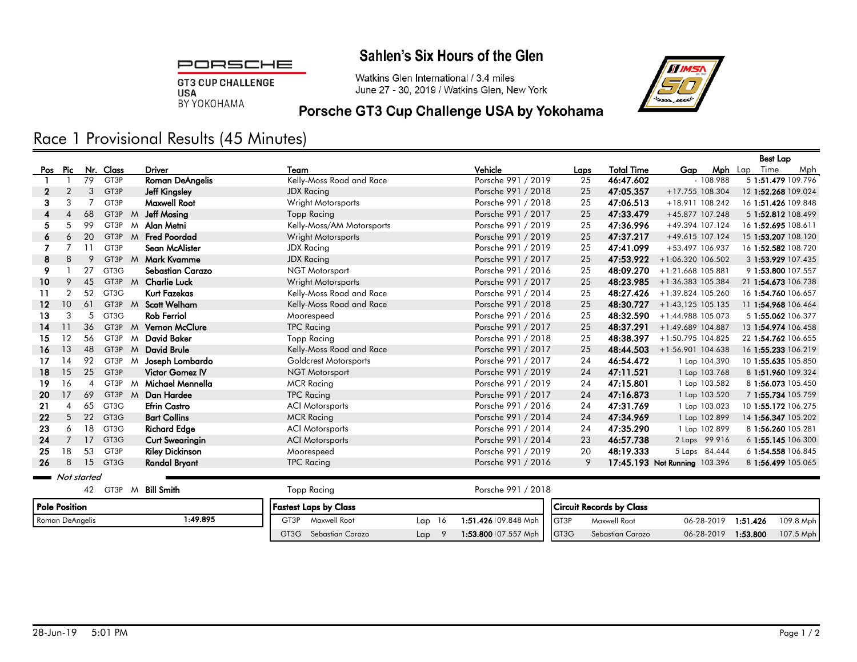#### Sahlen's Six Hours of the Glen

PORSCHE

**GT3 CUP CHALLENGE USA** BY YOKOHAMA

Watkins Glen International / 3.4 miles June 27 - 30, 2019 / Watkins Glen, New York



## Porsche GT3 Cup Challenge USA by Yokohama

# Race 1 Provisional Results (45 Minutes)

|             |                |    |                   |              |                        |                           |                    |      |                   |                               |               | <b>Best Lap</b>     |     |
|-------------|----------------|----|-------------------|--------------|------------------------|---------------------------|--------------------|------|-------------------|-------------------------------|---------------|---------------------|-----|
| Pos         | Pic            |    | Nr. Class         |              | <b>Driver</b>          | Team                      | Vehicle            | Laps | <b>Total Time</b> | Gap                           | Mph           | Lap Time            | Mph |
|             |                | 79 | GT3P              |              | <b>Roman DeAngelis</b> | Kelly-Moss Road and Race  | Porsche 991 / 2019 | 25   | 46:47.602         |                               | $-108.988$    | 5 1:51.479 109.796  |     |
| 2           | $\overline{2}$ | 3  | GT3P              |              | <b>Jeff Kingsley</b>   | <b>JDX Racing</b>         | Porsche 991 / 2018 | 25   | 47:05.357         | +17.755 108.304               |               | 12 1:52.268 109.024 |     |
| 3           | 3              |    | GT3P              |              | <b>Maxwell Root</b>    | Wright Motorsports        | Porsche 991 / 2018 | 25   | 47:06.513         | +18.911 108.242               |               | 16 1:51.426 109.848 |     |
| 4           |                | 68 | GT3P              | M            | Jeff Mosing            | <b>Topp Racing</b>        | Porsche 991 / 2017 | 25   | 47:33.479         | +45.877 107.248               |               | 5 1:52.812 108.499  |     |
| 5           | 5              | 99 | GT3P              | M            | Alan Metni             | Kelly-Moss/AM Motorsports | Porsche 991 / 2019 | 25   | 47:36.996         | +49.394 107.124               |               | 16 1:52.695 108.611 |     |
| 6           | 6              | 20 | GT3P M            |              | <b>Fred Poordad</b>    | Wright Motorsports        | Porsche 991 / 2019 | 25   | 47:37.217         | +49.615 107.124               |               | 15 1:53.207 108.120 |     |
|             |                | 11 | GT3P              |              | Sean McAlister         | <b>JDX Racing</b>         | Porsche 991 / 2019 | 25   | 47:41.099         | +53.497 106.937               |               | 16 1:52.582 108.720 |     |
| 8           | 8              | 9  | GT3P              | M            | <b>Mark Kvamme</b>     | <b>JDX Racing</b>         | Porsche 991 / 2017 | 25   | 47:53.922         | $+1:06.320$ 106.502           |               | 3 1:53.929 107.435  |     |
| 9           |                | 27 | GT3G              |              | Sebastian Carazo       | <b>NGT Motorsport</b>     | Porsche 991 / 2016 | 25   | 48:09.270         | $+1:21.668$ 105.881           |               | 9 1:53.800 107.557  |     |
| 10          | 9              | 45 | GT3P              | $M_{\odot}$  | <b>Charlie Luck</b>    | Wright Motorsports        | Porsche 991 / 2017 | 25   | 48:23.985         | +1:36.383 105.384             |               | 21 1:54.673 106.738 |     |
| 11          | $\overline{2}$ | 52 | GT3G              |              | <b>Kurt Fazekas</b>    | Kelly-Moss Road and Race  | Porsche 991 / 2014 | 25   | 48:27.426         | +1:39.824 105.260             |               | 16 1:54.760 106.657 |     |
| 12          | 10             | 61 | GT3P              | M            | <b>Scott Welham</b>    | Kelly-Moss Road and Race  | Porsche 991 / 2018 | 25   | 48:30.727         | $+1:43.125$ 105.135           |               | 11 1:54.968 106.464 |     |
| 13          | 3              | 5  | GT3G              |              | <b>Rob Ferriol</b>     | Moorespeed                | Porsche 991 / 2016 | 25   | 48:32.590         | +1:44.988 105.073             |               | 5 1:55.062 106.377  |     |
| 14          | 11             | 36 | GT3P              | M            | <b>Vernon McClure</b>  | <b>TPC Racing</b>         | Porsche 991 / 2017 | 25   | 48:37.291         | $+1:49.689$ 104.887           |               | 13 1:54.974 106.458 |     |
| 15          | 12             | 56 | GT3P              | M            | <b>David Baker</b>     | <b>Topp Racing</b>        | Porsche 991 / 2018 | 25   | 48:38.397         | +1:50.795 104.825             |               | 22 1:54.762 106.655 |     |
| 16          | 13             | 48 | GT3P              | M            | <b>David Brule</b>     | Kelly-Moss Road and Race  | Porsche 991 / 2017 | 25   | 48:44.503         | +1:56.901 104.638             |               | 16 1:55.233 106.219 |     |
| 17          | 14             | 92 | GT3P              | M            | Joseph Lombardo        | Goldcrest Motorsports     | Porsche 991 / 2017 | 24   | 46:54.472         |                               | 1 Lap 104.390 | 10 1:55.635 105.850 |     |
| 18          | 15             | 25 | GT <sub>3</sub> P |              | <b>Victor Gomez IV</b> | NGT Motorsport            | Porsche 991 / 2019 | 24   | 47:11.521         |                               | 1 Lap 103.768 | 8 1:51.960 109.324  |     |
| 19          | 16             | 4  | GT3P              | $\mathsf{M}$ | Michael Mennella       | <b>MCR Racing</b>         | Porsche 991 / 2019 | 24   | 47:15.801         |                               | 1 Lap 103.582 | 8 1:56.073 105.450  |     |
| 20          | 17             | 69 | GT3P M            |              | Dan Hardee             | <b>TPC Racing</b>         | Porsche 991 / 2017 | 24   | 47:16.873         |                               | 1 Lap 103.520 | 7 1:55.734 105.759  |     |
| 21          |                | 65 | GT3G              |              | <b>Efrin Castro</b>    | <b>ACI Motorsports</b>    | Porsche 991 / 2016 | 24   | 47:31.769         |                               | 1 Lap 103.023 | 10 1:55.172 106.275 |     |
| 22          | 5              | 22 | GT <sub>3</sub> G |              | <b>Bart Collins</b>    | <b>MCR Racing</b>         | Porsche 991 / 2014 | 24   | 47:34.969         |                               | 1 Lap 102.899 | 14 1:56.347 105.202 |     |
| 23          | 6              | 18 | GT3G              |              | <b>Richard Edge</b>    | <b>ACI Motorsports</b>    | Porsche 991 / 2014 | 24   | 47:35.290         |                               | 1 Lap 102.899 | 8 1:56.260 105.281  |     |
| 24          | $\overline{7}$ | 17 | GT <sub>3</sub> G |              | <b>Curt Swearingin</b> | <b>ACI Motorsports</b>    | Porsche 991 / 2014 | 23   | 46:57.738         |                               | 2 Laps 99.916 | 6 1:55.145 106.300  |     |
| 25          | 18             | 53 | GT3P              |              | <b>Riley Dickinson</b> | Moorespeed                | Porsche 991 / 2019 | 20   | 48:19.333         |                               | 5 Laps 84.444 | 6 1:54.558 106.845  |     |
| 26          | 8              | 15 | GT3G              |              | <b>Randal Bryant</b>   | <b>TPC Racing</b>         | Porsche 991 / 2016 | 9    |                   | 17:45.193 Not Running 103.396 |               | 8 1:56.499 105.065  |     |
| Not started |                |    |                   |              |                        |                           |                    |      |                   |                               |               |                     |     |
|             |                | 42 | GT3P M            |              | <b>Bill Smith</b>      | <b>Topp Racing</b>        | Porsche 991 / 2018 |      |                   |                               |               |                     |     |

| Pole Position   |         | <b>Fastest Laps by Class</b> |           |                            |  | <b>Circuit Records by Class</b> |            |          |           |  |  |
|-----------------|---------|------------------------------|-----------|----------------------------|--|---------------------------------|------------|----------|-----------|--|--|
| Roman DeAngelis | :49.895 | GT3P<br><b>Maxwell Root</b>  | 16<br>Lap | 1:51.426 09.848 Mph   GT3P |  | Maxwell Root                    | 06-28-2019 | 1:51.426 | 109.8 Mph |  |  |
|                 |         | GT3G<br>Sebastian Carazo     | Lap       | 1:53.800 07.557 Mph   GT3G |  | Sebastian Carazo                | 06-28-2019 | 1:53.800 | 107.5 Mph |  |  |